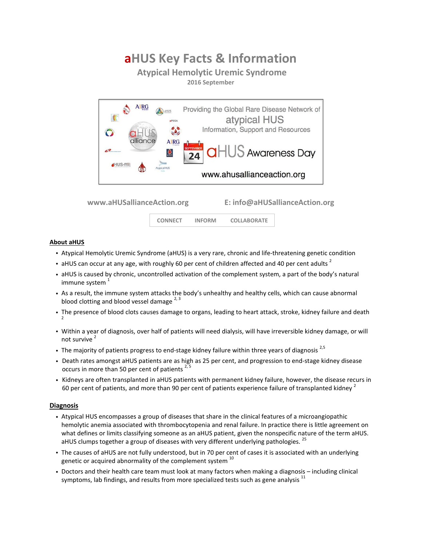# **aHUS Key Facts & Information**

# **Atypical Hemolytic Uremic Syndrome**

**2016 September**



**www.aHUSallianceAction.org E: info@aHUSallianceAction.org**

 **CONNECT INFORM COLLABORATE** 

### **About aHUS**

- Atypical Hemolytic Uremic Syndrome (aHUS) is a very rare, chronic and life-threatening genetic condition
- aHUS can occur at any age, with roughly 60 per cent of children affected and 40 per cent adults  $^2$
- aHUS is caused by chronic, uncontrolled activation of the complement system, a part of the body's natural immune system<sup>1</sup>
- As a result, the immune system attacks the body's unhealthy and healthy cells, which can cause abnormal blood clotting and blood vessel damage  $2,3$
- The presence of blood clots causes damage to organs, leading to heart attack, stroke, kidney failure and death 2
- Within a year of diagnosis, over half of patients will need dialysis, will have irreversible kidney damage, or will not survive <sup>2</sup>
- The majority of patients progress to end-stage kidney failure within three years of diagnosis<sup>2,5</sup>
- Death rates amongst aHUS patients are as high as 25 per cent, and progression to end-stage kidney disease occurs in more than 50 per cent of patients  $2,5$
- Kidneys are often transplanted in aHUS patients with permanent kidney failure, however, the disease recurs in 60 per cent of patients, and more than 90 per cent of patients experience failure of transplanted kidney  $^2$

### **Diagnosis**

- Atypical HUS encompasses a group of diseases that share in the clinical features of a microangiopathic hemolytic anemia associated with thrombocytopenia and renal failure. In practice there is little agreement on what defines or limits classifying someone as an aHUS patient, given the nonspecific nature of the term aHUS. aHUS clumps together a group of diseases with very different underlying pathologies.<sup>25</sup>
- The causes of aHUS are not fully understood, but in 70 per cent of cases it is associated with an underlying genetic or acquired abnormality of the complement system  $^{10}$
- Doctors and their health care team must look at many factors when making a diagnosis including clinical symptoms, lab findings, and results from more specialized tests such as gene analysis  $11$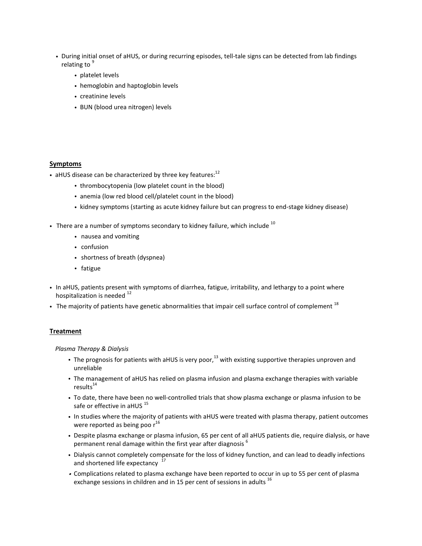- During initial onset of aHUS, or during recurring episodes, tell-tale signs can be detected from lab findings relating to <sup>9</sup>
	- platelet levels
	- hemoglobin and haptoglobin levels
	- creatinine levels
	- BUN (blood urea nitrogen) levels

### **Symptoms**

- aHUS disease can be characterized by three key features: $12$ 
	- thrombocytopenia (low platelet count in the blood)
	- anemia (low red blood cell/platelet count in the blood)
	- kidney symptoms (starting as acute kidney failure but can progress to end-stage kidney disease)
- There are a number of symptoms secondary to kidney failure, which include  $^{10}$ 
	- nausea and vomiting
	- confusion
	- shortness of breath (dyspnea)
	- fatigue
- In aHUS, patients present with symptoms of diarrhea, fatigue, irritability, and lethargy to a point where hospitalization is needed <sup>12</sup>
- The majority of patients have genetic abnormalities that impair cell surface control of complement  $^{18}$

### **Treatment**

#### *Plasma Therapy & Dialysis*

- The prognosis for patients with aHUS is very poor,<sup>13</sup> with existing supportive therapies unproven and unreliable
- The management of aHUS has relied on plasma infusion and plasma exchange therapies with variable  $results<sup>14</sup>$
- To date, there have been no well-controlled trials that show plasma exchange or plasma infusion to be safe or effective in aHUS<sup>15</sup>
- In studies where the majority of patients with aHUS were treated with plasma therapy, patient outcomes were reported as being poo  $r^{16}$
- Despite plasma exchange or plasma infusion, 65 per cent of all aHUS patients die, require dialysis, or have permanent renal damage within the first year after diagnosis <sup>6</sup>
- Dialysis cannot completely compensate for the loss of kidney function, and can lead to deadly infections and shortened life expectancy
- Complications related to plasma exchange have been reported to occur in up to 55 per cent of plasma exchange sessions in children and in 15 per cent of sessions in adults <sup>16</sup>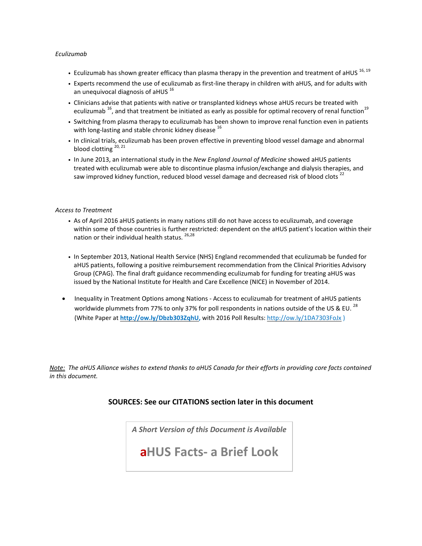### *Eculizumab*

- Eculizumab has shown greater efficacy than plasma therapy in the prevention and treatment of aHUS  $^{16, 19}$
- Experts recommend the use of eculizumab as first-line therapy in children with aHUS, and for adults with an unequivocal diagnosis of aHUS  $^{16}$
- Clinicians advise that patients with native or transplanted kidneys whose aHUS recurs be treated with eculizumab <sup>16</sup>, and that treatment be initiated as early as possible for optimal recovery of renal function<sup>19</sup>
- Switching from plasma therapy to eculizumab has been shown to improve renal function even in patients with long-lasting and stable chronic kidney disease  $^{16}$
- In clinical trials, eculizumab has been proven effective in preventing blood vessel damage and abnormal blood clotting <sup>20, 21</sup>
- In June 2013, an international study in the *New England Journal of Medicine* showed aHUS patients treated with eculizumab were able to discontinue plasma infusion/exchange and dialysis therapies, and saw improved kidney function, reduced blood vessel damage and decreased risk of blood clots<sup>22</sup>

### *Access to Treatment*

- As of April 2016 aHUS patients in many nations still do not have access to eculizumab, and coverage within some of those countries is further restricted: dependent on the aHUS patient's location within their nation or their individual health status.  $26,28$
- In September 2013, National Health Service (NHS) England recommended that eculizumab be funded for aHUS patients, following a positive reimbursement recommendation from the Clinical Priorities Advisory Group (CPAG). The final draft guidance recommending eculizumab for funding for treating aHUS was issued by the National Institute for Health and Care Excellence (NICE) in November of 2014.
- Inequality in Treatment Options among Nations Access to eculizumab for treatment of aHUS patients worldwide plummets from 77% to only 37% for poll respondents in nations outside of the US & EU.<sup>28</sup> (White Paper at **[http://ow.ly/Dbzb303ZqhU,](http://ow.ly/Dbzb303ZqhU)** with 2016 Poll Results: <http://ow.ly/1DA7303FoJx> )

Note: The aHUS Alliance wishes to extend thanks to aHUS Canada for their efforts in providing core facts contained *in this document.* 

# **SOURCES: See our CITATIONS section later in this document**

*A Short Version of this Document is Available*

**aHUS Facts- a Brief Look**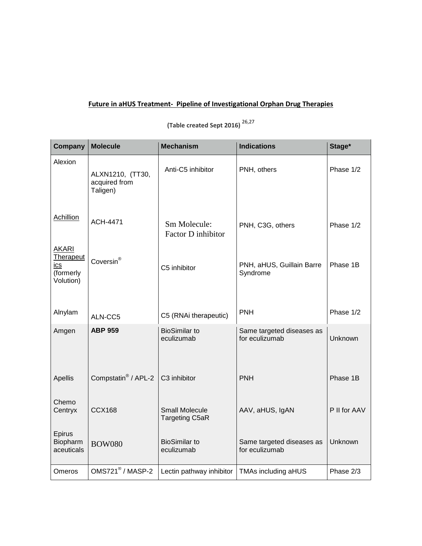# **Future in aHUS Treatment- Pipeline of Investigational Orphan Drug Therapies**

**(Table created Sept 2016)** 26,27

| Company                                                                  | <b>Molecule</b>                               | <b>Mechanism</b>                               | <b>Indications</b>                          | Stage*       |
|--------------------------------------------------------------------------|-----------------------------------------------|------------------------------------------------|---------------------------------------------|--------------|
| Alexion                                                                  | ALXN1210, (TT30,<br>acquired from<br>Taligen) | Anti-C5 inhibitor                              | PNH, others                                 | Phase 1/2    |
| Achillion                                                                | <b>ACH-4471</b>                               | Sm Molecule:<br>Factor D inhibitor             | PNH, C3G, others                            | Phase 1/2    |
| <b>AKARI</b><br><b>Therapeut</b><br><u>ics</u><br>(formerly<br>Volution) | Coversin®                                     | C5 inhibitor                                   | PNH, aHUS, Guillain Barre<br>Syndrome       | Phase 1B     |
| Alnylam                                                                  | ALN-CC5                                       | C5 (RNAi therapeutic)                          | <b>PNH</b>                                  | Phase 1/2    |
| Amgen                                                                    | <b>ABP 959</b>                                | <b>BioSimilar to</b><br>eculizumab             | Same targeted diseases as<br>for eculizumab | Unknown      |
| Apellis                                                                  | Compstatin <sup>®</sup> / APL-2               | C3 inhibitor                                   | <b>PNH</b>                                  | Phase 1B     |
| Chemo<br>Centryx                                                         | <b>CCX168</b>                                 | <b>Small Molecule</b><br><b>Targeting C5aR</b> | AAV, aHUS, IgAN                             | P II for AAV |
| Epirus<br>Biopharm<br>aceuticals                                         | <b>BOW080</b>                                 | <b>BioSimilar to</b><br>eculizumab             | Same targeted diseases as<br>for eculizumab | Unknown      |
| Omeros                                                                   | OMS721 <sup>®</sup> / MASP-2                  | Lectin pathway inhibitor                       | Phase 2/3<br>TMAs including aHUS            |              |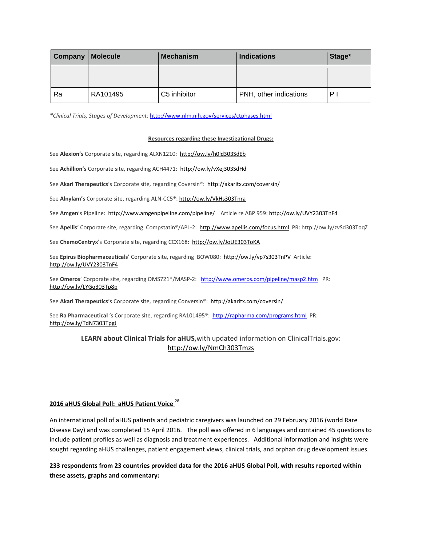| Company | <b>Molecule</b> | <b>Mechanism</b> | <b>Indications</b>     | Stage* |
|---------|-----------------|------------------|------------------------|--------|
|         |                 |                  |                        |        |
| Ra      | RA101495        | C5 inhibitor     | PNH, other indications | ΡI     |

*\*Clinical Trials, Stages of Development:* <http://www.nlm.nih.gov/services/ctphases.html>

#### **Resources regarding these Investigational Drugs:**

See Alexion's Corporate site, regarding ALXN1210:<http://ow.ly/h0ld303SdEb>

See **Achillion's** Corporate site, regarding ACH4471:<http://ow.ly/vXej303SdHd>

See **Akari Therapeutics**'s Corporate site, regarding Coversin®: <http://akaritx.com/coversin/>

See **Alnylam's** Corporate site, regarding ALN-CC5®: <http://ow.ly/VkHs303Tnra>

See Amgen's Pipeline: <http://www.amgenpipeline.com/pipeline/>Article re ABP 959: <http://ow.ly/UVY2303TnF4>

See **Apellis**' Corporate site, regarding Compstatin®/APL-2:<http://www.apellis.com/focus.html>PR: http://ow.ly/zvSd303ToqZ

See ChemoCentryx's Corporate site, regarding CCX168: http://ow.ly/JoUE303ToKA

See **Epirus Biopharmaceuticals**' Corporate site, regarding BOW080: <http://ow.ly/vp7s303TnPV>Article: <http://ow.ly/UVY2303TnF4>

See **Omeros**' Corporate site, regarding OMS721®/MASP-2: <http://www.omeros.com/pipeline/masp2.htm>PR: <http://ow.ly/LYGq303Tp8p>

See **Akari Therapeutics**'s Corporate site, regarding Conversin®: <http://akaritx.com/coversin/>

See **Ra Pharmaceutical** 's Corporate site, regarding RA101495®:<http://rapharma.com/programs.html> PR: <http://ow.ly/TdN7303TpgJ>

# **LEARN about Clinical Trials for aHUS,**with updated information on ClinicalTrials.gov: <http://ow.ly/NmCh303Tmzs>

### **2016 aHUS Global Poll: aHUS Patient Voice** <sup>28</sup>

An international poll of aHUS patients and pediatric caregivers was launched on 29 February 2016 (world Rare Disease Day) and was completed 15 April 2016. The poll was offered in 6 languages and contained 45 questions to include patient profiles as well as diagnosis and treatment experiences. Additional information and insights were sought regarding aHUS challenges, patient engagement views, clinical trials, and orphan drug development issues.

233 respondents from 23 countries provided data for the 2016 aHUS Global Poll, with results reported within **these assets, graphs and commentary:**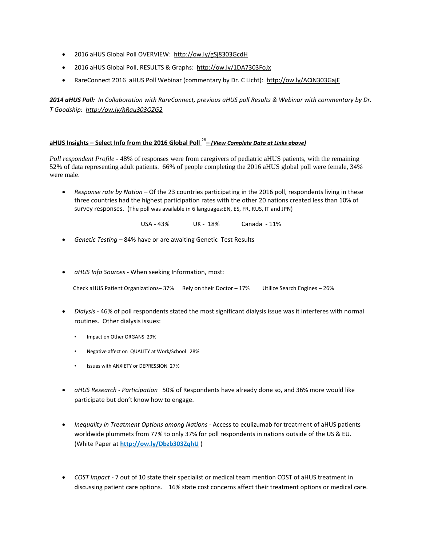- 2016 aHUS Global Poll OVERVIEW:<http://ow.ly/gSj8303GcdH>
- 2016 aHUS Global Poll, RESULTS & Graphs:<http://ow.ly/1DA7303FoJx>
- RareConnect 2016 aHUS Poll Webinar (commentary by Dr. C Licht): <http://ow.ly/ACiN303GajE>

2014 aHUS Poll: In Collaboration with RareConnect, previous aHUS poll Results & Webinar with commentary by Dr. *T Goodship:<http://ow.ly/hRau303OZG2>*

# **aHUS Insights – Select Info from the 2016 Global Poll** <sup>28</sup> **–** *(View Complete Data at Links above)*

*Poll respondent Profile* - 48% of responses were from caregivers of pediatric aHUS patients, with the remaining 52% of data representing adult patients. 66% of people completing the 2016 aHUS global poll were female, 34% were male.

 *Response rate by Nation* – Of the 23 countries participating in the 2016 poll, respondents living in these three countries had the highest participation rates with the other 20 nations created less than 10% of survey responses. (The poll was available in 6 languages:EN, ES, FR, RUS, IT and JPN)

USA - 43% UK - 18% Canada - 11%

- *Genetic Testing* 84% have or are awaiting Genetic Test Results
- *aHUS Info Sources* When seeking Information, most:

| Check aHUS Patient Organizations - $37\%$ Rely on their Doctor - 17% | Utilize Search Engines - 26% |
|----------------------------------------------------------------------|------------------------------|
|                                                                      |                              |

- *Dialysis* 46% of poll respondents stated the most significant dialysis issue was it interferes with normal routines. Other dialysis issues:
	- Impact on Other ORGANS 29%
	- Negative affect on QUALITY at Work/School 28%
	- Issues with ANXIETY or DEPRESSION 27%
- *aHUS Research - Participation* 50% of Respondents have already done so, and 36% more would like participate but don't know how to engage.
- *Inequality in Treatment Options among Nations* Access to eculizumab for treatment of aHUS patients worldwide plummets from 77% to only 37% for poll respondents in nations outside of the US & EU. (White Paper at **<http://ow.ly/Dbzb303ZqhU>** )
- *COST Impact* 7 out of 10 state their specialist or medical team mention COST of aHUS treatment in discussing patient care options. 16% state cost concerns affect their treatment options or medical care.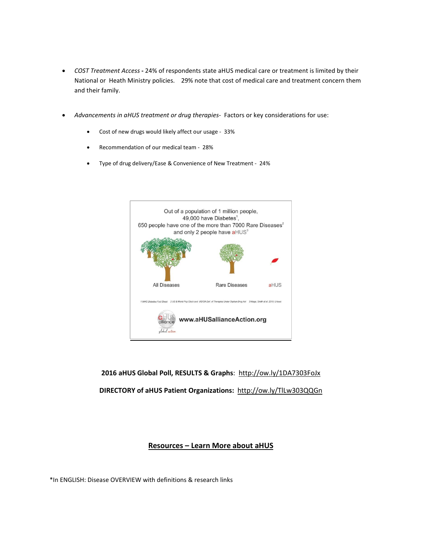- *COST Treatment Access* **-** 24% of respondents state aHUS medical care or treatment is limited by their National or Heath Ministry policies. 29% note that cost of medical care and treatment concern them and their family.
- *Advancements in aHUS treatment or drug therapies-* Factors or key considerations for use:
	- Cost of new drugs would likely affect our usage 33%
	- Recommendation of our medical team 28%
	- Type of drug delivery/Ease & Convenience of New Treatment 24%



**2016 aHUS Global Poll, RESULTS & Graphs**: <http://ow.ly/1DA7303FoJx>

**DIRECTORY of aHUS Patient Organizations:**<http://ow.ly/TlLw303QQGn>

# **Resources – Learn More about aHUS**

\*In ENGLISH: Disease OVERVIEW with definitions & research links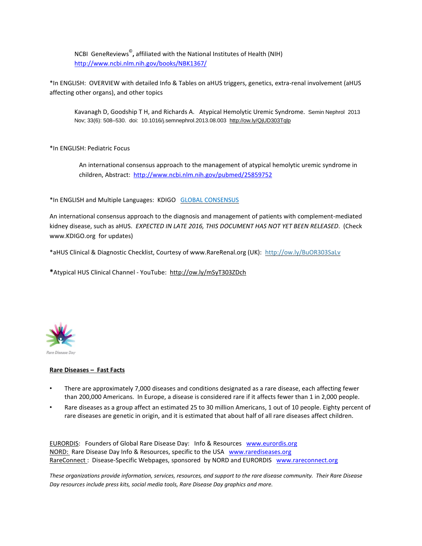NCBI GeneReviews© **,** affiliated with the National Institutes of Health (NIH) <http://www.ncbi.nlm.nih.gov/books/NBK1367/>

\*In ENGLISH: OVERVIEW with detailed Info & Tables on aHUS triggers, genetics, extra-renal involvement (aHUS affecting other organs), and other topics

Kavanagh D, Goodship T H, and Richards A. Atypical Hemolytic Uremic Syndrome. Semin Nephrol 2013 Nov; 33(6): 508–530. doi: 10.1016/j.semnephrol.2013.08.003 <http://ow.ly/QjUD303Tqlp>

\*In ENGLISH: Pediatric Focus

An international consensus approach to the management of atypical hemolytic uremic syndrome in children, Abstract: <http://www.ncbi.nlm.nih.gov/pubmed/25859752>

\*In ENGLISH and Multiple Languages: KDIGO GLOBAL [CONSENSUS](http://kdigo.org/home/conferences/complement-mediated-kidney-diseases/) 

An international consensus approach to the diagnosis and management of patients with complement-mediated kidney disease, such as aHUS. *EXPECTED IN LATE 2016, THIS DOCUMENT HAS NOT YET BEEN RELEASED*. (Check www.KDIGO.org for updates)

\*aHUS Clinical & Diagnostic Checklist, Courtesy of www.RareRenal.org (UK): <http://ow.ly/BuOR303SaLv>

**\***Atypical HUS Clinical Channel - YouTube:<http://ow.ly/mSyT303ZDch>



### **Rare Diseases – Fast Facts**

- There are approximately 7,000 diseases and conditions designated as a rare disease, each affecting fewer than 200,000 Americans. In Europe, a disease is considered rare if it affects fewer than 1 in 2,000 people.
- Rare diseases as a group affect an estimated 25 to 30 million Americans, 1 out of 10 people. Eighty percent of rare diseases are genetic in origin, and it is estimated that about half of all rare diseases affect children.

[EURORDIS:](http://www.rarediseaseday.org/) Founders of Global Rare Disease Day: Info & Resources [www.eurordis.org](http://www.eurordis.org/) [NORD:](http://rarediseaseday.us/) Rare Disease Day Info & Resources, specific to the USA [www.rarediseases.org](http://www.rarediseases.org/) [RareConnect](https://www.rareconnect.org/en) : Disease-Specific Webpages, sponsored by NORD and EURORDIS [www.rareconnect.org](http://www.rareconnect.org/)

These organizations provide information, services, resources, and support to the rare disease community. Their Rare Disease *Day resources include press kits, social media tools, Rare Disease Day graphics and more.*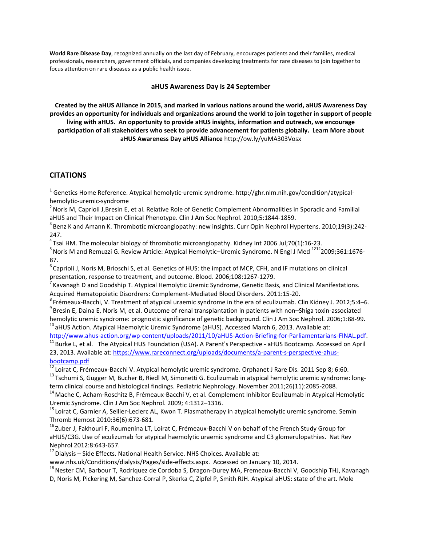**World Rare Disease Day**, recognized annually on the last day of February, encourages patients and their families, medical professionals, researchers, government officials, and companies developing treatments for rare diseases to join together to focus attention on rare diseases as a public health issue.

### **aHUS Awareness Day is 24 September**

Created by the aHUS Alliance in 2015, and marked in various nations around the world, aHUS Awareness Day provides an opportunity for individuals and organizations around the world to join together in support of people **living with aHUS. An opportunity to provide aHUS insights, information and outreach, we encourage participation of all stakeholders who seek to provide advancement for patients globally. Learn More about aHUS Awareness Day aHUS Alliance** <http://ow.ly/yuMA303Vosx>

## **CITATIONS**

 $^1$  Genetics Home Reference. Atypical hemolytic-uremic syndrome. http://ghr.nlm.nih.gov/condition/atypicalhemolytic-uremic-syndrome

 $^2$  Noris M, Caprioli J,Bresin E, et al. Relative Role of Genetic Complement Abnormalities in Sporadic and Familial aHUS and Their Impact on Clinical Phenotype. Clin J Am Soc Nephrol. 2010;5:1844-1859.

<sup>3</sup> Benz K and Amann K. Thrombotic microangiopathy: new insights. Curr Opin Nephrol Hypertens. 2010;19(3):242-247.

 $^{4}$ Tsai HM. The molecular biology of thrombotic microangiopathy. Kidney Int 2006 Jul;70(1):16-23.

<sup>5</sup> Noris M and Remuzzi G. Review Article: Atypical Hemolytic–Uremic Syndrome. N Engl J Med <sup>1212</sup>2009;361:1676-87.

 $^6$ Caprioli J, Noris M, Brioschi S, et al. Genetics of HUS: the impact of MCP, CFH, and IF mutations on clinical presentation, response to treatment, and outcome. Blood. 2006;108:1267-1279.

 $^7$ Kavanagh D and Goodship T. Atypical Hemolytic Uremic Syndrome, Genetic Basis, and Clinical Manifestations. Acquired Hematopoietic Disordrers: Complement-Mediated Blood Disorders. 2011:15-20.

8 Frémeaux-Bacchi, V. Treatment of atypical uraemic syndrome in the era of eculizumab. Clin Kidney J. 2012;5:4–6.  $^9$ Bresin E, Daina E, Noris M, et al. Outcome of renal transplantation in patients with non–Shiga toxin-associated hemolytic uremic syndrome: prognostic significance of genetic background. Clin J Am Soc Nephrol. 2006;1:88-99.

<sup>10</sup> aHUS Action. Atypical Haemolytic Uremic Syndrome (aHUS). Accessed March 6, 2013. Available at:

[http://www.ahus-action.org/wp-content/uploads/2011/10/aHUS-Action-Briefing-for-Parliamentarians-FINAL.pdf.](http://www.ahus-action.org/wp-content/uploads/2011/10/aHUS-Action-Briefing-for-Parliamentarians-FINAL.pdf)

 $11$  Burke L, et al. The Atypical HUS Foundation (USA). A Parent's Perspective - aHUS Bootcamp. Accessed on April 23, 2013. Available at: [https://www.rareconnect.org/uploads/documents/a-parent-s-perspective-ahus](https://www.rareconnect.org/uploads/documents/a-parent-s-perspective-ahus-bootcamp.pdf)[bootcamp.pdf](https://www.rareconnect.org/uploads/documents/a-parent-s-perspective-ahus-bootcamp.pdf)

 $^{12}$ Loirat C, Frémeaux-Bacchi V. Atypical hemolytic uremic syndrome. Orphanet J Rare Dis. 2011 Sep 8; 6:60.

<sup>13</sup> Tschumi S, Gugger M, Bucher B, Riedl M, Simonetti G. Eculizumab in atypical hemolytic uremic syndrome: longterm clinical course and histological findings. Pediatric Nephrology. November 2011;26(11):2085-2088.

<sup>14</sup> Mache C, Acham-Roschitz B, Frémeaux-Bacchi V, et al. Complement Inhibitor Eculizumab in Atypical Hemolytic Uremic Syndrome. Clin J Am Soc Nephrol. 2009; 4:1312–1316.

<sup>15</sup> Loirat C, Garnier A, Sellier-Leclerc AL, Kwon T. Plasmatherapy in atypical hemolytic uremic syndrome. Semin Thromb Hemost 2010:36(6):673-681.

<sup>16</sup> Zuber J, Fakhouri F, Roumenina LT, Loirat C, Frémeaux-Bacchi V on behalf of the French Study Group for aHUS/C3G. Use of eculizumab for atypical haemolytic uraemic syndrome and C3 glomerulopathies. Nat Rev Nephrol 2012:8:643-657.

 $17$  Dialysis – Side Effects. National Health Service. NHS Choices. Available at:

www.nhs.uk/Conditions/dialysis/Pages/side-effects.aspx. Accessed on January 10, 2014.

<sup>18</sup> Nester CM, Barbour T, Rodriquez de Cordoba S, Dragon-Durey MA, Fremeaux-Bacchi V, Goodship THJ, Kavanagh

D, Noris M, Pickering M, Sanchez-Corral P, Skerka C, Zipfel P, Smith RJH. Atypical aHUS: state of the art. Mole